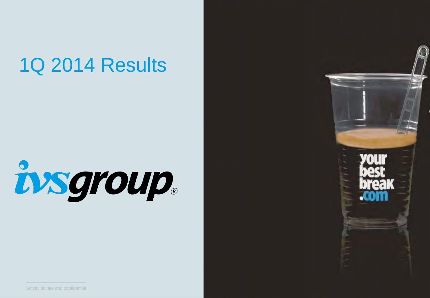## 1Q 2014 Results

# insgroup.

 $\frac{1}{2}$ 

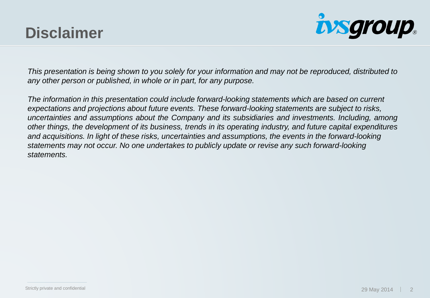## **Disclaimer**



This presentation is being shown to you solely for your information and may not be reproduced, distributed to *any other person or published, in whole or in part, for any purpose.*

*The information in this presentation could include forward-looking statements which are based on current expectations and projections about future events. These forward-looking statements are subject to risks, uncertainties and assumptions about the Company and its subsidiaries and investments. Including, among other things, the development of its business, trends in its operating industry, and future capital expenditures and acquisitions. In light of these risks, uncertainties and assumptions, the events in the forward-looking statements may not occur. No one undertakes to publicly update or revise any such forward-looking statements.*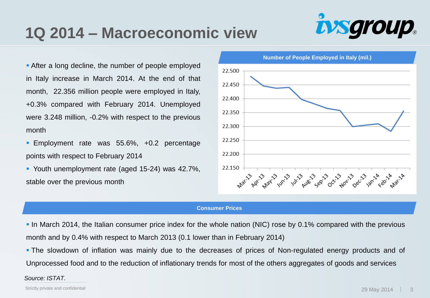## **1Q 2014 – Macroeconomic view**



**After a long decline, the number of people employed** in Italy increase in March 2014. At the end of that month, 22.356 million people were employed in Italy, +0.3% compared with February 2014. Unemployed were 3.248 million, -0.2% with respect to the previous month

- **Employment rate was 55.6%, +0.2 percentage** points with respect to February 2014
- Youth unemployment rate (aged 15-24) was 42.7%, stable over the previous month



#### **Consumer Prices**

 In March 2014, the Italian consumer price index for the whole nation (NIC) rose by 0.1% compared with the previous month and by 0.4% with respect to March 2013 (0.1 lower than in February 2014)

 The slowdown of inflation was mainly due to the decreases of prices of Non-regulated energy products and of Unprocessed food and to the reduction of inflationary trends for most of the others aggregates of goods and services

#### *Source: ISTAT.*

Strictly private and confidential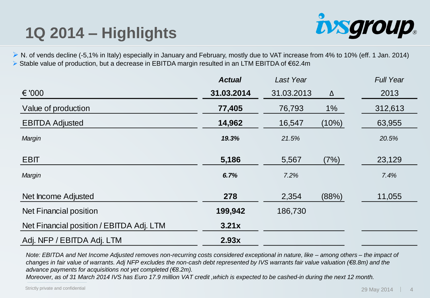## **1Q 2014 – Highlights**



▶ N. of vends decline (-5,1% in Italy) especially in January and February, mostly due to VAT increase from 4% to 10% (eff. 1 Jan. 2014) Stable value of production, but a decrease in EBITDA margin resulted in an LTM EBITDA of €62.4m

|                                          | <b>Actual</b> | Last Year  |       | <b>Full Year</b> |
|------------------------------------------|---------------|------------|-------|------------------|
| € '000                                   | 31.03.2014    | 31.03.2013 | Δ     | 2013             |
| Value of production                      | 77,405        | 76,793     | $1\%$ | 312,613          |
| <b>EBITDA Adjusted</b>                   | 14,962        | 16,547     | (10%) | 63,955           |
| Margin                                   | 19.3%         | 21.5%      |       | 20.5%            |
| <b>EBIT</b>                              | 5,186         | 5,567      | (7%)  | 23,129           |
| Margin                                   | 6.7%          | 7.2%       |       | 7.4%             |
| Net Income Adjusted                      | 278           | 2,354      | (88%) | 11,055           |
| Net Financial position                   | 199,942       | 186,730    |       |                  |
| Net Financial position / EBITDA Adj. LTM | 3.21x         |            |       |                  |
| Adj. NFP / EBITDA Adj. LTM               | 2.93x         |            |       |                  |

*Note: EBITDA and Net Income Adjusted removes non-recurring costs considered exceptional in nature, like – among others – the impact of changes in fair value of warrants. Adj NFP excludes the non-cash debt represented by IVS warrants fair value valuation (€8.8m) and the advance payments for acquisitions not yet completed (€8.2m).* 

*Moreover, as of 31 March 2014 IVS has Euro 17.9 million VAT credit ,which is expected to be cashed-in during the next 12 month.*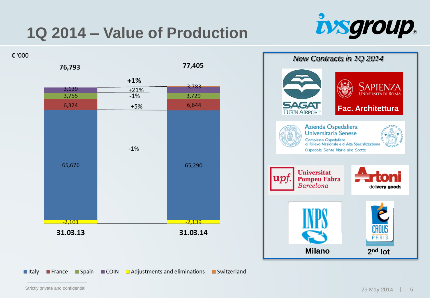## **1Q 2014 – Value of Production**



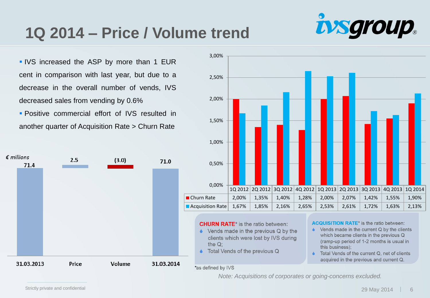## **1Q 2014 – Price / Volume trend**

**IVS** increased the ASP by more than 1 EUR cent in comparison with last year, but due to a decrease in the overall number of vends, IVS decreased sales from vending by 0.6%

**Positive commercial effort of IVS resulted in** another quarter of Acquisition Rate > Churn Rate





#### **CHURN RATE**\* is the ratio between:

- $\bullet$  Vends made in the previous Q by the clients which were lost by IVS during the  $Q$ :
- Total Vends of the previous Q

#### \*as defined by IVS

**ACQUISITION RATE\*** is the ratio between:

 $\blacktriangle$ Vends made in the current Q by the clients which became clients in the previous Q (ramp-up period of 1-2 months is usual in this business):

*uysgroup.* 

 $\blacktriangle$ Total Vends of the current Q, net of clients acquired in the previous and current Q.

*Note: Acquisitions of corporates or going-concerns excluded.*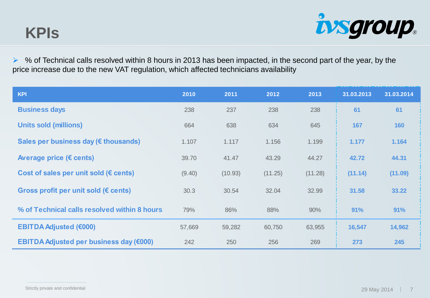

 $\triangleright$  % of Technical calls resolved within 8 hours in 2013 has been impacted, in the second part of the year, by the price increase due to the new VAT regulation, which affected technicians availability

| <b>KPI</b>                                      | 2010   | 2011    | 2012    | 2013    | 31.03.2013 | 31.03.2014 |
|-------------------------------------------------|--------|---------|---------|---------|------------|------------|
| <b>Business days</b>                            | 238    | 237     | 238     | 238     | 61         | 61         |
| <b>Units sold (millions)</b>                    | 664    | 638     | 634     | 645     | 167        | 160        |
| Sales per business day (€ thousands)            | 1.107  | 1.117   | 1.156   | 1.199   | 1.177      | 1.164      |
| Average price (€ cents)                         | 39.70  | 41.47   | 43.29   | 44.27   | 42.72      | 44.31      |
| Cost of sales per unit sold ( $\epsilon$ cents) | (9.40) | (10.93) | (11.25) | (11.28) | (11.14)    | (11.09)    |
| Gross profit per unit sold ( $\epsilon$ cents)  | 30.3   | 30.54   | 32.04   | 32.99   | 31.58      | 33.22      |
| % of Technical calls resolved within 8 hours    | 79%    | 86%     | 88%     | 90%     | 91%        | 91%        |
| <b>EBITDA Adjusted (€000)</b>                   | 57,669 | 59,282  | 60,750  | 63,955  | 16,547     | 14,962     |
| EBITDA Adjusted per business day (€000)         | 242    | 250     | 256     | 269     | 273        | 245        |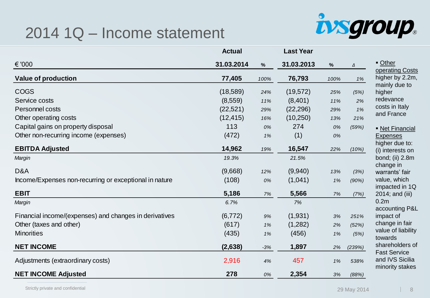#### 2014 1Q – Income statement



|                                                        | <b>Actual</b> |       | <b>Last Year</b> |      |        |                                                           |
|--------------------------------------------------------|---------------|-------|------------------|------|--------|-----------------------------------------------------------|
| € '000                                                 | 31.03.2014    | $\%$  | 31.03.2013       | $\%$ | Δ      | Other<br>operating Costs                                  |
| <b>Value of production</b>                             | 77,405        | 100%  | 76,793           | 100% | 1%     | higher by 2.2m,<br>mainly due to                          |
| <b>COGS</b>                                            | (18, 589)     | 24%   | (19, 572)        | 25%  | (5%)   | higher                                                    |
| Service costs                                          | (8,559)       | 11%   | (8,401)          | 11%  | 2%     | redevance                                                 |
| Personnel costs                                        | (22, 521)     | 29%   | (22, 296)        | 29%  | 1%     | costs in Italy                                            |
| Other operating costs                                  | (12, 415)     | 16%   | (10, 250)        | 13%  | 21%    | and France                                                |
| Capital gains on property disposal                     | 113           | 0%    | 274              | 0%   | (59%)  | • Net Financial                                           |
| Other non-recurring income (expenses)                  | (472)         | 1%    | (1)              | 0%   |        | <b>Expenses</b>                                           |
| <b>EBITDA Adjusted</b>                                 | 14,962        | 19%   | 16,547           | 22%  | (10%)  | higher due to:<br>(i) interests on                        |
| Margin                                                 | 19.3%         |       | 21.5%            |      |        | bond; (ii) 2.8m                                           |
| D&A                                                    | (9,668)       | 12%   | (9,940)          | 13%  | (3%)   | change in<br>warrants' fair                               |
| Income/Expenses non-recurring or exceptional in nature | (108)         | 0%    | (1,041)          | 1%   | (90%)  | value, which                                              |
| <b>EBIT</b>                                            | 5,186         | 7%    | 5,566            | 7%   | (7%)   | impacted in 1Q<br>2014; and (iii)                         |
| Margin                                                 | 6.7%          |       | 7%               |      |        | 0.2 <sub>m</sub>                                          |
| Financial income/(expenses) and changes in derivatives | (6, 772)      | 9%    | (1,931)          | 3%   | 251%   | accounting P&L<br>impact of                               |
| Other (taxes and other)                                | (617)         | 1%    | (1,282)          | 2%   | (52%)  | change in fair                                            |
| <b>Minorities</b>                                      | (435)         | 1%    | (456)            | 1%   | (5%)   | value of liability<br>towards                             |
| <b>NET INCOME</b>                                      | (2,638)       | $-3%$ | 1,897            | 2%   | (239%) | shareholders of                                           |
| Adjustments (extraordinary costs)                      | 2,916         | 4%    | 457              | 1%   | 538%   | <b>Fast Service</b><br>and IVS Sicilia<br>minority stakes |
| <b>NET INCOME Adjusted</b>                             | 278           | 0%    | 2,354            | 3%   | (88%)  |                                                           |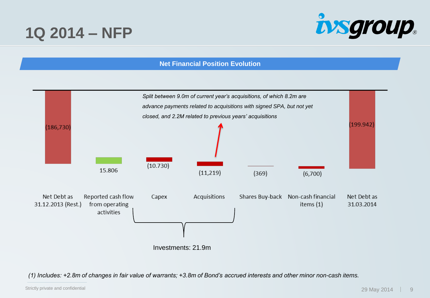### **1Q 2014 – NFP**



#### **Net Financial Position Evolution**



*(1) Includes: +2.8m of changes in fair value of warrants; +3.8m of Bond's accrued interests and other minor non-cash items.*